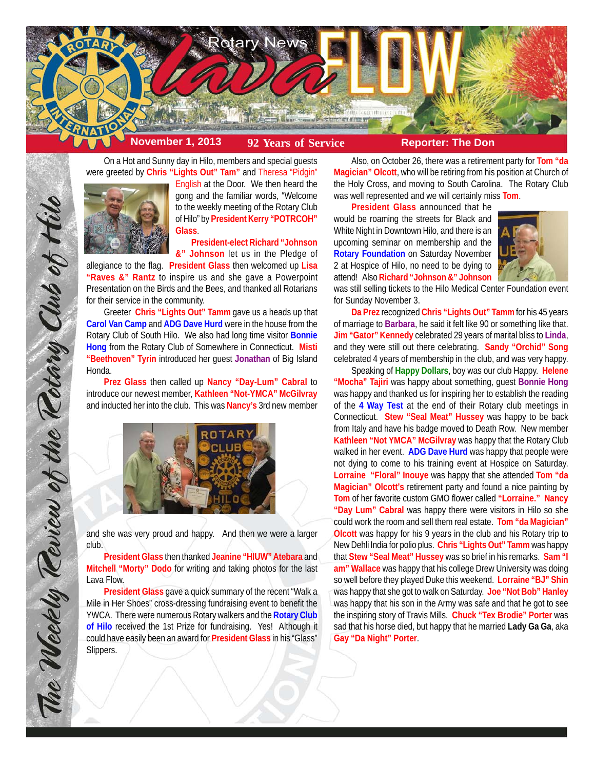

On a Hot and Sunny day in Hilo, members and special guests were greeted by **Chris "Lights Out" Tam"** and Theresa "Pidgin"



English at the Door. We then heard the gong and the familiar words, "Welcome to the weekly meeting of the Rotary Club of Hilo" by **President Kerry "POTRCOH" Glass**.

**President-elect Richard "Johnson &" Johnson** let us in the Pledge of

allegiance to the flag. **President Glass** then welcomed up **Lisa "Raves &" Rantz** to inspire us and she gave a Powerpoint Presentation on the Birds and the Bees, and thanked all Rotarians for their service in the community.

Greeter **Chris "Lights Out" Tamm** gave us a heads up that **Carol Van Camp** and **ADG Dave Hurd** were in the house from the Rotary Club of South Hilo. We also had long time visitor **Bonnie Hong** from the Rotary Club of Somewhere in Connecticut. **Misti "Beethoven" Tyrin** introduced her guest **Jonathan** of Big Island Honda.

**Prez Glass** then called up **Nancy "Day-Lum" Cabral** to introduce our newest member, **Kathleen "Not-YMCA" McGilvray** and inducted her into the club. This was **Nancy's** 3rd new member



and she was very proud and happy. And then we were a larger club.

**President Glass** then thanked **Jeanine "HIUW" Atebara** and **Mitchell "Morty" Dodo** for writing and taking photos for the last Lava Flow.

**President Glass** gave a quick summary of the recent "Walk a Mile in Her Shoes" cross-dressing fundraising event to benefit the YWCA. There were numerous Rotary walkers and the **Rotary Club of Hilo** received the 1st Prize for fundraising. Yes! Although it could have easily been an award for **President Glass** in his "Glass" Slippers.

Also, on October 26, there was a retirement party for **Tom "da Magician" Olcott**, who will be retiring from his position at Church of the Holy Cross, and moving to South Carolina. The Rotary Club was well represented and we will certainly miss **Tom**.

**President Glass** announced that he would be roaming the streets for Black and White Night in Downtown Hilo, and there is an upcoming seminar on membership and the **Rotary Foundation** on Saturday November 2 at Hospice of Hilo, no need to be dying to attend! Also **Richard "Johnson &" Johnson**



was still selling tickets to the Hilo Medical Center Foundation event for Sunday November 3.

**Da Prez** recognized **Chris "Lights Out" Tamm** for his 45 years of marriage to **Barbara**, he said it felt like 90 or something like that. **Jim "Gator" Kennedy** celebrated 29 years of marital bliss to **Linda**, and they were still out there celebrating. **Sandy "Orchid" Song** celebrated 4 years of membership in the club, and was very happy.

Speaking of **Happy Dollars**, boy was our club Happy. **Helene "Mocha" Tajiri** was happy about something, guest **Bonnie Hong** was happy and thanked us for inspiring her to establish the reading of the **4 Way Test** at the end of their Rotary club meetings in Connecticut. **Stew "Seal Meat" Hussey** was happy to be back from Italy and have his badge moved to Death Row. New member **Kathleen "Not YMCA" McGilvray** was happy that the Rotary Club walked in her event. **ADG Dave Hurd** was happy that people were not dying to come to his training event at Hospice on Saturday. **Lorraine "Floral" Inouye** was happy that she attended **Tom "da Magician" Olcott's** retirement party and found a nice painting by **Tom** of her favorite custom GMO flower called **"Lorraine." Nancy "Day Lum" Cabral** was happy there were visitors in Hilo so she could work the room and sell them real estate. **Tom "da Magician" Olcott** was happy for his 9 years in the club and his Rotary trip to New Dehli India for polio plus. **Chris "Lights Out" Tamm** was happy that **Stew "Seal Meat" Hussey** was so brief in his remarks. **Sam "I am" Wallace** was happy that his college Drew University was doing so well before they played Duke this weekend. **Lorraine "BJ" Shin** was happy that she got to walk on Saturday. **Joe "Not Bob" Hanley** was happy that his son in the Army was safe and that he got to see the inspiring story of Travis Mills. **Chuck "Tex Brodie" Porter** was sad that his horse died, but happy that he married **Lady Ga Ga**, aka **Gay "Da Night" Porter**.